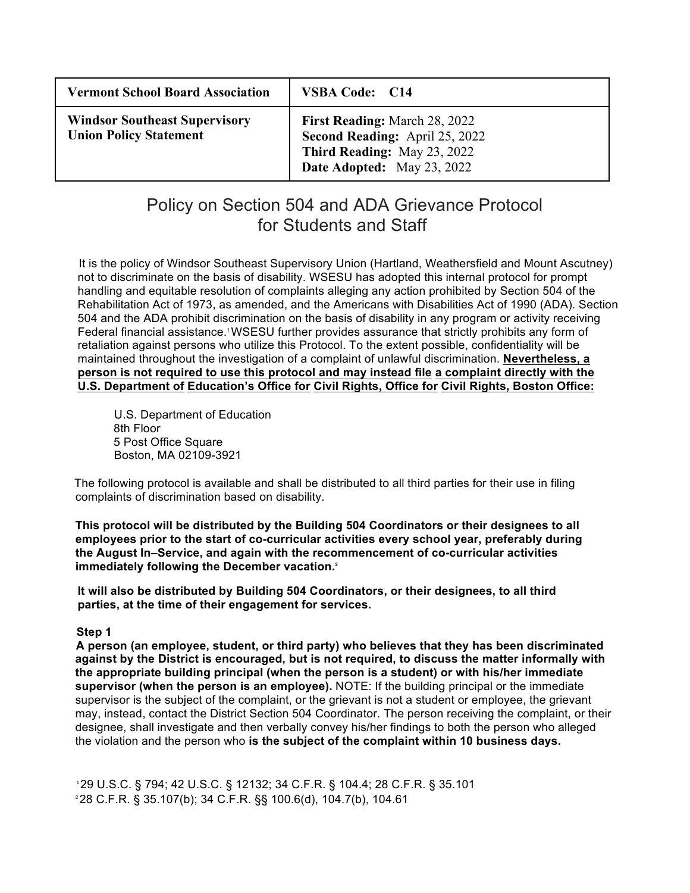| <b>Vermont School Board Association</b>                               | <b>VSBA Code: C14</b>                                                                                                               |
|-----------------------------------------------------------------------|-------------------------------------------------------------------------------------------------------------------------------------|
| <b>Windsor Southeast Supervisory</b><br><b>Union Policy Statement</b> | <b>First Reading:</b> March 28, 2022<br>Second Reading: April 25, 2022<br>Third Reading: May 23, 2022<br>Date Adopted: May 23, 2022 |

# Policy on Section 504 and ADA Grievance Protocol for Students and Staff

It is the policy of Windsor Southeast Supervisory Union (Hartland, Weathersfield and Mount Ascutney) not to discriminate on the basis of disability. WSESU has adopted this internal protocol for prompt handling and equitable resolution of complaints alleging any action prohibited by Section 504 of the Rehabilitation Act of 1973, as amended, and the Americans with Disabilities Act of 1990 (ADA). Section 504 and the ADA prohibit discrimination on the basis of disability in any program or activity receiving Federal financial assistance.<sup>1</sup> WSESU further provides assurance that strictly prohibits any form of retaliation against persons who utilize this Protocol. To the extent possible, confidentiality will be maintained throughout the investigation of a complaint of unlawful discrimination. **Nevertheless, a person is not required to use this protocol and may instead file a complaint directly with the U.S. Department of Education's Office for Civil Rights, Office for Civil Rights, Boston Office:**

U.S. Department of Education 8th Floor 5 Post Office Square Boston, MA 02109-3921

The following protocol is available and shall be distributed to all third parties for their use in filing complaints of discrimination based on disability.

**This protocol will be distributed by the Building 504 Coordinators or their designees to all employees prior to the start of co-curricular activities every school year, preferably during the August In–Service, and again with the recommencement of co-curricular activities immediately following the December vacation.2**

**It will also be distributed by Building 504 Coordinators, or their designees, to all third parties, at the time of their engagement for services.**

## **Step 1**

**A person (an employee, student, or third party) who believes that they has been discriminated against by the District is encouraged, but is not required, to discuss the matter informally with the appropriate building principal (when the person is a student) or with his/her immediate supervisor (when the person is an employee).** NOTE: If the building principal or the immediate supervisor is the subject of the complaint, or the grievant is not a student or employee, the grievant may, instead, contact the District Section 504 Coordinator. The person receiving the complaint, or their designee, shall investigate and then verbally convey his/her findings to both the person who alleged the violation and the person who **is the subject of the complaint within 10 business days.**

<sup>1</sup>29 U.S.C. § 794; 42 U.S.C. § 12132; 34 C.F.R. § 104.4; 28 C.F.R. § 35.101 2 28 C.F.R. § 35.107(b); 34 C.F.R. §§ 100.6(d), 104.7(b), 104.61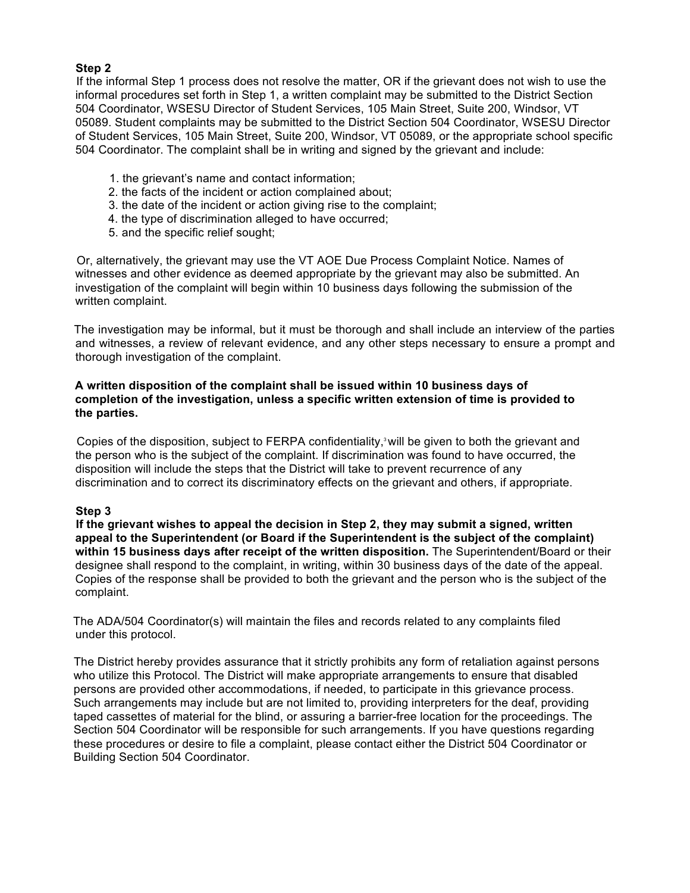# **Step 2**

If the informal Step 1 process does not resolve the matter, OR if the grievant does not wish to use the informal procedures set forth in Step 1, a written complaint may be submitted to the District Section 504 Coordinator, WSESU Director of Student Services, 105 Main Street, Suite 200, Windsor, VT 05089. Student complaints may be submitted to the District Section 504 Coordinator, WSESU Director of Student Services, 105 Main Street, Suite 200, Windsor, VT 05089, or the appropriate school specific 504 Coordinator. The complaint shall be in writing and signed by the grievant and include:

- 1. the grievant's name and contact information;
- 2. the facts of the incident or action complained about;
- 3. the date of the incident or action giving rise to the complaint;
- 4. the type of discrimination alleged to have occurred;
- 5. and the specific relief sought;

Or, alternatively, the grievant may use the VT AOE Due Process Complaint Notice. Names of witnesses and other evidence as deemed appropriate by the grievant may also be submitted. An investigation of the complaint will begin within 10 business days following the submission of the written complaint.

The investigation may be informal, but it must be thorough and shall include an interview of the parties and witnesses, a review of relevant evidence, and any other steps necessary to ensure a prompt and thorough investigation of the complaint.

#### **A written disposition of the complaint shall be issued within 10 business days of completion of the investigation, unless a specific written extension of time is provided to the parties.**

Copies of the disposition, subject to FERPA confidentiality,<sup>3</sup> will be given to both the grievant and the person who is the subject of the complaint. If discrimination was found to have occurred, the disposition will include the steps that the District will take to prevent recurrence of any discrimination and to correct its discriminatory effects on the grievant and others, if appropriate.

## **Step 3**

**If the grievant wishes to appeal the decision in Step 2, they may submit a signed, written appeal to the Superintendent (or Board if the Superintendent is the subject of the complaint) within 15 business days after receipt of the written disposition.** The Superintendent/Board or their designee shall respond to the complaint, in writing, within 30 business days of the date of the appeal. Copies of the response shall be provided to both the grievant and the person who is the subject of the complaint.

The ADA/504 Coordinator(s) will maintain the files and records related to any complaints filed under this protocol.

The District hereby provides assurance that it strictly prohibits any form of retaliation against persons who utilize this Protocol. The District will make appropriate arrangements to ensure that disabled persons are provided other accommodations, if needed, to participate in this grievance process. Such arrangements may include but are not limited to, providing interpreters for the deaf, providing taped cassettes of material for the blind, or assuring a barrier-free location for the proceedings. The Section 504 Coordinator will be responsible for such arrangements. If you have questions regarding these procedures or desire to file a complaint, please contact either the District 504 Coordinator or Building Section 504 Coordinator.